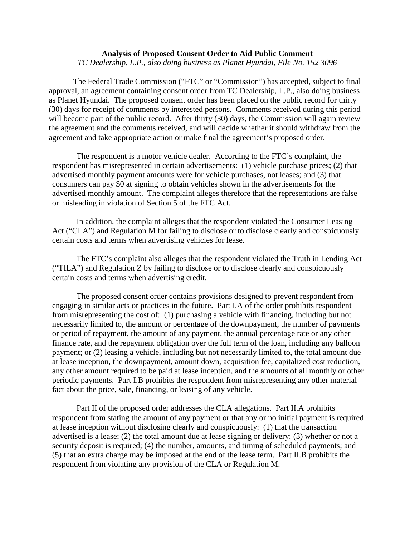## **Analysis of Proposed Consent Order to Aid Public Comment**

*TC Dealership, L.P., also doing business as Planet Hyundai, File No. 152 3096*

The Federal Trade Commission ("FTC" or "Commission") has accepted, subject to final approval, an agreement containing consent order from TC Dealership, L.P., also doing business as Planet Hyundai. The proposed consent order has been placed on the public record for thirty (30) days for receipt of comments by interested persons. Comments received during this period will become part of the public record. After thirty (30) days, the Commission will again review the agreement and the comments received, and will decide whether it should withdraw from the agreement and take appropriate action or make final the agreement's proposed order.

The respondent is a motor vehicle dealer. According to the FTC's complaint, the respondent has misrepresented in certain advertisements: (1) vehicle purchase prices; (2) that advertised monthly payment amounts were for vehicle purchases, not leases; and (3) that consumers can pay \$0 at signing to obtain vehicles shown in the advertisements for the advertised monthly amount. The complaint alleges therefore that the representations are false or misleading in violation of Section 5 of the FTC Act.

In addition, the complaint alleges that the respondent violated the Consumer Leasing Act ("CLA") and Regulation M for failing to disclose or to disclose clearly and conspicuously certain costs and terms when advertising vehicles for lease.

The FTC's complaint also alleges that the respondent violated the Truth in Lending Act ("TILA") and Regulation Z by failing to disclose or to disclose clearly and conspicuously certain costs and terms when advertising credit.

The proposed consent order contains provisions designed to prevent respondent from engaging in similar acts or practices in the future. Part I.A of the order prohibits respondent from misrepresenting the cost of: (1) purchasing a vehicle with financing, including but not necessarily limited to, the amount or percentage of the downpayment, the number of payments or period of repayment, the amount of any payment, the annual percentage rate or any other finance rate, and the repayment obligation over the full term of the loan, including any balloon payment; or (2) leasing a vehicle, including but not necessarily limited to, the total amount due at lease inception, the downpayment, amount down, acquisition fee, capitalized cost reduction, any other amount required to be paid at lease inception, and the amounts of all monthly or other periodic payments. Part I.B prohibits the respondent from misrepresenting any other material fact about the price, sale, financing, or leasing of any vehicle.

Part II of the proposed order addresses the CLA allegations. Part II.A prohibits respondent from stating the amount of any payment or that any or no initial payment is required at lease inception without disclosing clearly and conspicuously: (1) that the transaction advertised is a lease; (2) the total amount due at lease signing or delivery; (3) whether or not a security deposit is required; (4) the number, amounts, and timing of scheduled payments; and (5) that an extra charge may be imposed at the end of the lease term. Part II.B prohibits the respondent from violating any provision of the CLA or Regulation M.